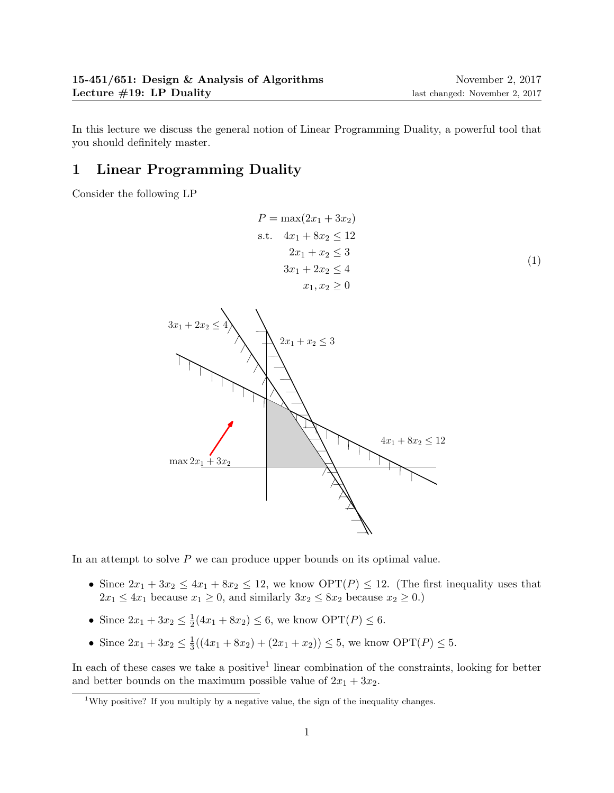In this lecture we discuss the general notion of Linear Programming Duality, a powerful tool that you should definitely master.

# 1 Linear Programming Duality

Consider the following LP

$$
P = \max(2x_1 + 3x_2)
$$
  
s.t.  $4x_1 + 8x_2 \le 12$   
 $2x_1 + x_2 \le 3$   
 $3x_1 + 2x_2 \le 4$   
 $x_1, x_2 \ge 0$  (1)



In an attempt to solve  $P$  we can produce upper bounds on its optimal value.

- Since  $2x_1 + 3x_2 \le 4x_1 + 8x_2 \le 12$ , we know  $\text{OPT}(P) \le 12$ . (The first inequality uses that  $2x_1 \leq 4x_1$  because  $x_1 \geq 0$ , and similarly  $3x_2 \leq 8x_2$  because  $x_2 \geq 0$ .)
- Since  $2x_1 + 3x_2 \leq \frac{1}{2}$  $\frac{1}{2}(4x_1 + 8x_2) \le 6$ , we know  $\text{OPT}(P) \le 6$ .
- Since  $2x_1 + 3x_2 \leq \frac{1}{3}$  $\frac{1}{3}((4x_1 + 8x_2) + (2x_1 + x_2)) \leq 5$ , we know  $\text{OPT}(P) \leq 5$ .

In each of these cases we take a positive<sup>1</sup> linear combination of the constraints, looking for better and better bounds on the maximum possible value of  $2x_1 + 3x_2$ .

<sup>&</sup>lt;sup>1</sup>Why positive? If you multiply by a negative value, the sign of the inequality changes.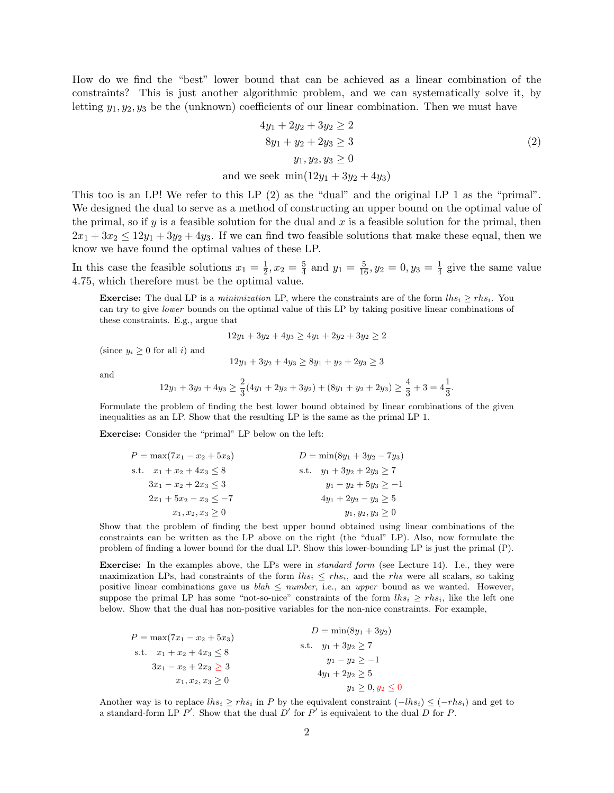How do we find the "best" lower bound that can be achieved as a linear combination of the constraints? This is just another algorithmic problem, and we can systematically solve it, by letting  $y_1, y_2, y_3$  be the (unknown) coefficients of our linear combination. Then we must have

$$
4y_1 + 2y_2 + 3y_2 \ge 2
$$
  
 
$$
8y_1 + y_2 + 2y_3 \ge 3
$$
  
 
$$
y_1, y_2, y_3 \ge 0
$$
  
and we seek 
$$
\min(12y_1 + 3y_2 + 4y_3)
$$
 (2)

This too is an LP! We refer to this LP (2) as the "dual" and the original LP 1 as the "primal". We designed the dual to serve as a method of constructing an upper bound on the optimal value of the primal, so if y is a feasible solution for the dual and x is a feasible solution for the primal, then  $2x_1 + 3x_2 \le 12y_1 + 3y_2 + 4y_3$ . If we can find two feasible solutions that make these equal, then we know we have found the optimal values of these LP.

In this case the feasible solutions  $x_1 = \frac{1}{2}$  $\frac{1}{2}, x_2 = \frac{5}{4}$  $\frac{5}{4}$  and  $y_1 = \frac{5}{16}$ ,  $y_2 = 0$ ,  $y_3 = \frac{1}{4}$  $\frac{1}{4}$  give the same value 4.75, which therefore must be the optimal value.

**Exercise:** The dual LP is a minimization LP, where the constraints are of the form  $\ln s_i \geq r h s_i$ . You can try to give lower bounds on the optimal value of this LP by taking positive linear combinations of these constraints. E.g., argue that

$$
12y_1 + 3y_2 + 4y_3 \ge 4y_1 + 2y_2 + 3y_2 \ge 2
$$

(since  $y_i \geq 0$  for all i) and

$$
12y_1 + 3y_2 + 4y_3 \ge 8y_1 + y_2 + 2y_3 \ge 3
$$

and

$$
12y_1 + 3y_2 + 4y_3 \ge \frac{2}{3}(4y_1 + 2y_2 + 3y_2) + (8y_1 + y_2 + 2y_3) \ge \frac{4}{3} + 3 = 4\frac{1}{3}.
$$

Formulate the problem of finding the best lower bound obtained by linear combinations of the given inequalities as an LP. Show that the resulting LP is the same as the primal LP 1.

Exercise: Consider the "primal" LP below on the left:

| $P = \max(7x_1 - x_2 + 5x_3)$  | $D = \min(8y_1 + 3y_2 - 7y_3)$ |
|--------------------------------|--------------------------------|
| s.t. $x_1 + x_2 + 4x_3 \leq 8$ | s.t. $y_1 + 3y_2 + 2y_3 \ge 7$ |
| $3x_1 - x_2 + 2x_3 \leq 3$     | $y_1 - y_2 + 5y_3 \ge -1$      |
| $2x_1 + 5x_2 - x_3 < -7$       | $4y_1 + 2y_2 - y_3 \geq 5$     |
| $x_1, x_2, x_3 \geq 0$         | $y_1, y_2, y_3 \geq 0$         |

Show that the problem of finding the best upper bound obtained using linear combinations of the constraints can be written as the LP above on the right (the "dual" LP). Also, now formulate the problem of finding a lower bound for the dual LP. Show this lower-bounding LP is just the primal (P).

Exercise: In the examples above, the LPs were in *standard form* (see Lecture 14). I.e., they were maximization LPs, had constraints of the form  $u_{is} \leq r h s_i$ , and the rhs were all scalars, so taking positive linear combinations gave us  $\text{blah} \leq \text{number}$ , i.e., an upper bound as we wanted. However, suppose the primal LP has some "not-so-nice" constraints of the form  $\ln s_i \geq r h s_i$ , like the left one below. Show that the dual has non-positive variables for the non-nice constraints. For example,

$$
P = \max(7x_1 - x_2 + 5x_3)
$$
  
\n
$$
D = \min(8y_1 + 3y_2)
$$
  
\n
$$
y_1 + 3y_2 \ge 7
$$
  
\n
$$
3x_1 - x_2 + 2x_3 \ge 3
$$
  
\n
$$
x_1, x_2, x_3 \ge 0
$$
  
\n
$$
y_1 = y_2 \ge -1
$$
  
\n
$$
4y_1 + 2y_2 \ge 5
$$
  
\n
$$
y_1 \ge 0, y_2 \le 0
$$

Another way is to replace  $\ln s_i \geq r h s_i$  in P by the equivalent constraint  $(-\ln s_i) \leq (-r h s_i)$  and get to a standard-form LP  $P'$ . Show that the dual  $D'$  for  $P'$  is equivalent to the dual  $D$  for  $P$ .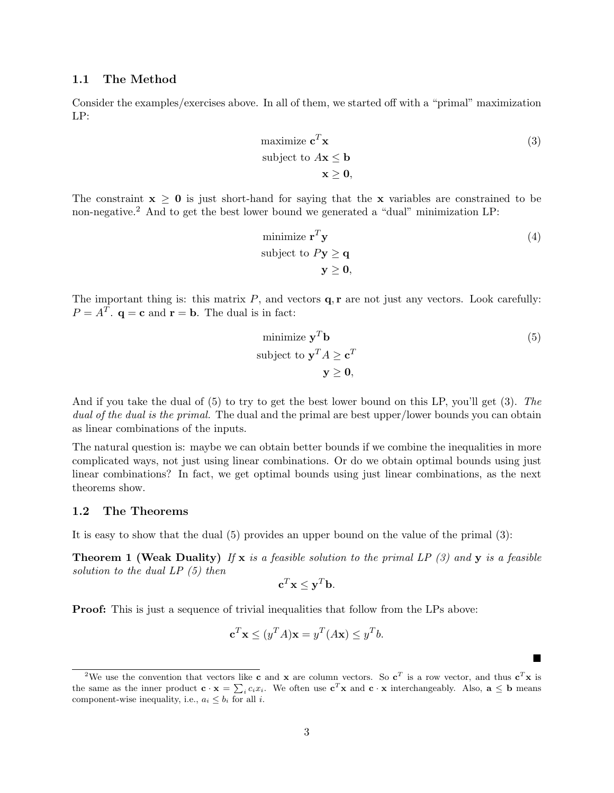#### 1.1 The Method

Consider the examples/exercises above. In all of them, we started off with a "primal" maximization LP:

maximize 
$$
\mathbf{c}^T \mathbf{x}
$$
  
subject to  $A\mathbf{x} \leq \mathbf{b}$   
 $\mathbf{x} \geq \mathbf{0}$ , (3)

The constraint  $x \geq 0$  is just short-hand for saying that the x variables are constrained to be non-negative.<sup>2</sup> And to get the best lower bound we generated a "dual" minimization LP:

minimize 
$$
\mathbf{r}^T \mathbf{y}
$$
  
\nsubject to  $P\mathbf{y} \ge \mathbf{q}$   
\n $\mathbf{y} \ge \mathbf{0}$ , (4)

The important thing is: this matrix  $P$ , and vectors  $q, r$  are not just any vectors. Look carefully:  $P = A^T$ .  $\mathbf{q} = \mathbf{c}$  and  $\mathbf{r} = \mathbf{b}$ . The dual is in fact:

minimize 
$$
\mathbf{y}^T \mathbf{b}
$$
  
\nsubject to  $\mathbf{y}^T A \ge \mathbf{c}^T$   
\n $\mathbf{y} \ge \mathbf{0},$  (5)

П

And if you take the dual of (5) to try to get the best lower bound on this LP, you'll get (3). The dual of the dual is the primal. The dual and the primal are best upper/lower bounds you can obtain as linear combinations of the inputs.

The natural question is: maybe we can obtain better bounds if we combine the inequalities in more complicated ways, not just using linear combinations. Or do we obtain optimal bounds using just linear combinations? In fact, we get optimal bounds using just linear combinations, as the next theorems show.

### 1.2 The Theorems

It is easy to show that the dual (5) provides an upper bound on the value of the primal (3):

**Theorem 1 (Weak Duality)** If x is a feasible solution to the primal LP  $(3)$  and y is a feasible solution to the dual LP (5) then

$$
\mathbf{c}^T \mathbf{x} \leq \mathbf{y}^T \mathbf{b}.
$$

**Proof:** This is just a sequence of trivial inequalities that follow from the LPs above:

$$
\mathbf{c}^T \mathbf{x} \le (y^T A) \mathbf{x} = y^T (A \mathbf{x}) \le y^T b.
$$

<sup>&</sup>lt;sup>2</sup>We use the convention that vectors like **c** and **x** are column vectors. So **c**<sup>T</sup> is a row vector, and thus **c**<sup>T</sup>**x** is the same as the inner product  $\mathbf{c} \cdot \mathbf{x} = \sum_i c_i x_i$ . We often use  $\mathbf{c}^T \mathbf{x}$  and  $\mathbf{c} \cdot \mathbf{x}$  interchangeably. Also,  $\mathbf{a} \leq \mathbf{b}$  means component-wise inequality, i.e.,  $a_i \leq b_i$  for all *i*.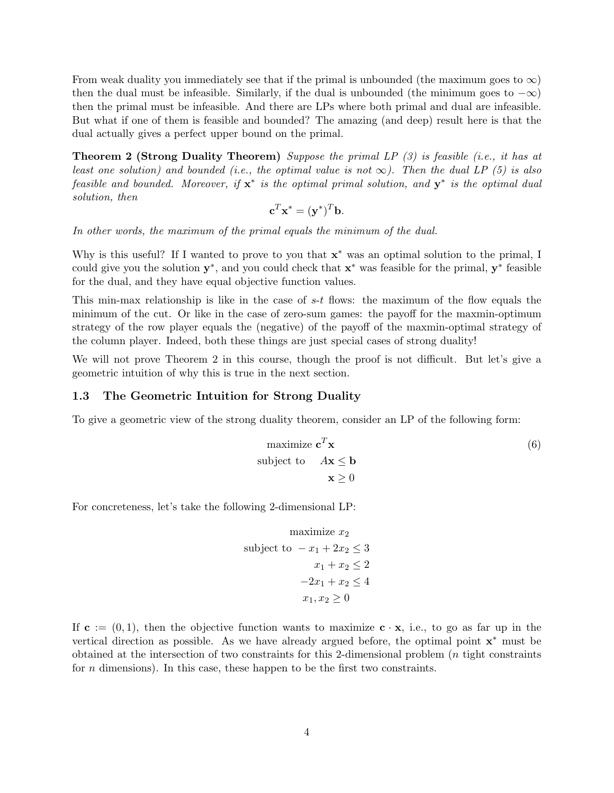From weak duality you immediately see that if the primal is unbounded (the maximum goes to  $\infty$ ) then the dual must be infeasible. Similarly, if the dual is unbounded (the minimum goes to  $-\infty$ ) then the primal must be infeasible. And there are LPs where both primal and dual are infeasible. But what if one of them is feasible and bounded? The amazing (and deep) result here is that the dual actually gives a perfect upper bound on the primal.

Theorem 2 (Strong Duality Theorem) Suppose the primal LP (3) is feasible (i.e., it has at least one solution) and bounded (i.e., the optimal value is not  $\infty$ ). Then the dual LP (5) is also feasible and bounded. Moreover, if  $x^*$  is the optimal primal solution, and  $y^*$  is the optimal dual solution, then

$$
\mathbf{c}^T \mathbf{x}^* = (\mathbf{y}^*)^T \mathbf{b}.
$$

In other words, the maximum of the primal equals the minimum of the dual.

Why is this useful? If I wanted to prove to you that  $x^*$  was an optimal solution to the primal, I could give you the solution  $y^*$ , and you could check that  $x^*$  was feasible for the primal,  $y^*$  feasible for the dual, and they have equal objective function values.

This min-max relationship is like in the case of  $s-t$  flows: the maximum of the flow equals the minimum of the cut. Or like in the case of zero-sum games: the payoff for the maxmin-optimum strategy of the row player equals the (negative) of the payoff of the maxmin-optimal strategy of the column player. Indeed, both these things are just special cases of strong duality!

We will not prove Theorem 2 in this course, though the proof is not difficult. But let's give a geometric intuition of why this is true in the next section.

#### 1.3 The Geometric Intuition for Strong Duality

To give a geometric view of the strong duality theorem, consider an LP of the following form:

maximize 
$$
\mathbf{c}^T \mathbf{x}
$$
  
\nsubject to  $A\mathbf{x} \leq \mathbf{b}$   
\n $\mathbf{x} \geq 0$  (6)

For concreteness, let's take the following 2-dimensional LP:

maximize 
$$
x_2
$$
  
subject to  $-x_1 + 2x_2 \le 3$   
 $x_1 + x_2 \le 2$   
 $-2x_1 + x_2 \le 4$   
 $x_1, x_2 \ge 0$ 

If  $c := (0, 1)$ , then the objective function wants to maximize  $c \cdot x$ , i.e., to go as far up in the vertical direction as possible. As we have already argued before, the optimal point  $x^*$  must be obtained at the intersection of two constraints for this 2-dimensional problem (n tight constraints for  $n$  dimensions). In this case, these happen to be the first two constraints.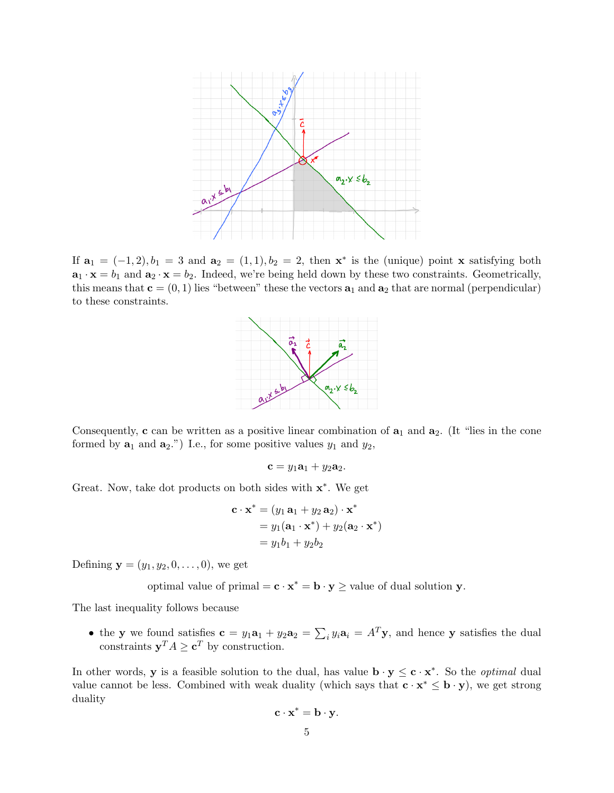

If  $\mathbf{a}_1 = (-1, 2), b_1 = 3$  and  $\mathbf{a}_2 = (1, 1), b_2 = 2$ , then  $\mathbf{x}^*$  is the (unique) point x satisfying both  $\mathbf{a}_1 \cdot \mathbf{x} = b_1$  and  $\mathbf{a}_2 \cdot \mathbf{x} = b_2$ . Indeed, we're being held down by these two constraints. Geometrically, this means that  $\mathbf{c} = (0, 1)$  lies "between" these the vectors  $\mathbf{a}_1$  and  $\mathbf{a}_2$  that are normal (perpendicular) to these constraints.



Consequently, c can be written as a positive linear combination of  $a_1$  and  $a_2$ . (It "lies in the cone formed by  $\mathbf{a}_1$  and  $\mathbf{a}_2$ .") I.e., for some positive values  $y_1$  and  $y_2$ ,

$$
\mathbf{c} = y_1 \mathbf{a}_1 + y_2 \mathbf{a}_2.
$$

Great. Now, take dot products on both sides with  $x^*$ . We get

$$
\mathbf{c} \cdot \mathbf{x}^* = (y_1 \mathbf{a}_1 + y_2 \mathbf{a}_2) \cdot \mathbf{x}^*
$$
  
=  $y_1(\mathbf{a}_1 \cdot \mathbf{x}^*) + y_2(\mathbf{a}_2 \cdot \mathbf{x}^*)$   
=  $y_1b_1 + y_2b_2$ 

Defining  $y = (y_1, y_2, 0, \ldots, 0)$ , we get

optimal value of primal =  $\mathbf{c} \cdot \mathbf{x}^* = \mathbf{b} \cdot \mathbf{y} \ge$  value of dual solution  $\mathbf{y}$ .

The last inequality follows because

• the y we found satisfies  $\mathbf{c} = y_1 \mathbf{a}_1 + y_2 \mathbf{a}_2 = \sum_i y_i \mathbf{a}_i = A^T \mathbf{y}$ , and hence y satisfies the dual constraints  $y^T A \geq c^T$  by construction.

In other words, y is a feasible solution to the dual, has value  $\mathbf{b} \cdot \mathbf{y} \leq \mathbf{c} \cdot \mathbf{x}^*$ . So the *optimal* dual value cannot be less. Combined with weak duality (which says that  $c \cdot x^* \leq b \cdot y$ ), we get strong duality

$$
\mathbf{c} \cdot \mathbf{x}^* = \mathbf{b} \cdot \mathbf{y}.
$$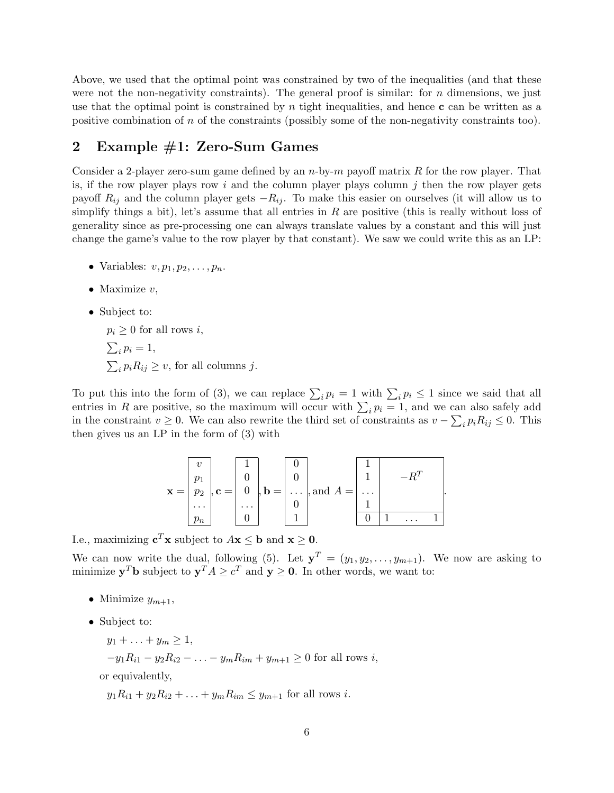Above, we used that the optimal point was constrained by two of the inequalities (and that these were not the non-negativity constraints). The general proof is similar: for  $n$  dimensions, we just use that the optimal point is constrained by n tight inequalities, and hence  $\bf{c}$  can be written as a positive combination of  $n$  of the constraints (possibly some of the non-negativity constraints too).

## 2 Example #1: Zero-Sum Games

Consider a 2-player zero-sum game defined by an  $n$ -by- $m$  payoff matrix R for the row player. That is, if the row player plays row i and the column player plays column j then the row player gets payoff  $R_{ij}$  and the column player gets  $-R_{ij}$ . To make this easier on ourselves (it will allow us to simplify things a bit), let's assume that all entries in  $R$  are positive (this is really without loss of generality since as pre-processing one can always translate values by a constant and this will just change the game's value to the row player by that constant). We saw we could write this as an LP:

- Variables:  $v, p_1, p_2, \ldots, p_n$ .
- Maximize  $v$ ,
- Subject to:

 $p_i \geq 0$  for all rows i,  $\sum_i p_i = 1,$  $\sum_i p_i R_{ij} \ge v$ , for all columns j.

To put this into the form of (3), we can replace  $\sum_i p_i = 1$  with  $\sum_i p_i \le 1$  since we said that all entries in R are positive, so the maximum will occur with  $\sum_i p_i = 1$ , and we can also safely add in the constraint  $v \ge 0$ . We can also rewrite the third set of constraints as  $v - \sum_i p_i R_{ij} \le 0$ . This then gives us an LP in the form of (3) with

| $\mathbf{x} =$ | $p_2$    | $, c =$ | $\boldsymbol{0}$ | $ , \mathbf{b} =  $ | $\cdots$ | , and $A =$ | $\cdots$ |  |  |
|----------------|----------|---------|------------------|---------------------|----------|-------------|----------|--|--|
|                | $\cdots$ |         | $\cdots$         |                     |          |             |          |  |  |
|                | $p_n$    |         |                  |                     |          |             |          |  |  |

I.e., maximizing  $\mathbf{c}^T \mathbf{x}$  subject to  $A\mathbf{x} \leq \mathbf{b}$  and  $\mathbf{x} \geq \mathbf{0}$ .

We can now write the dual, following (5). Let  $y^T = (y_1, y_2, \ldots, y_{m+1})$ . We now are asking to minimize  $y^T b$  subject to  $y^T A \ge c^T$  and  $y \ge 0$ . In other words, we want to:

- Minimize  $y_{m+1}$ ,
- Subject to:
	- $y_1 + \ldots + y_m \ge 1$ ,
	- $-y_1R_{i1} y_2R_{i2} \ldots y_mR_{im} + y_{m+1} \geq 0$  for all rows *i*,

or equivalently,

 $y_1R_{i1} + y_2R_{i2} + \ldots + y_mR_{im} \le y_{m+1}$  for all rows *i*.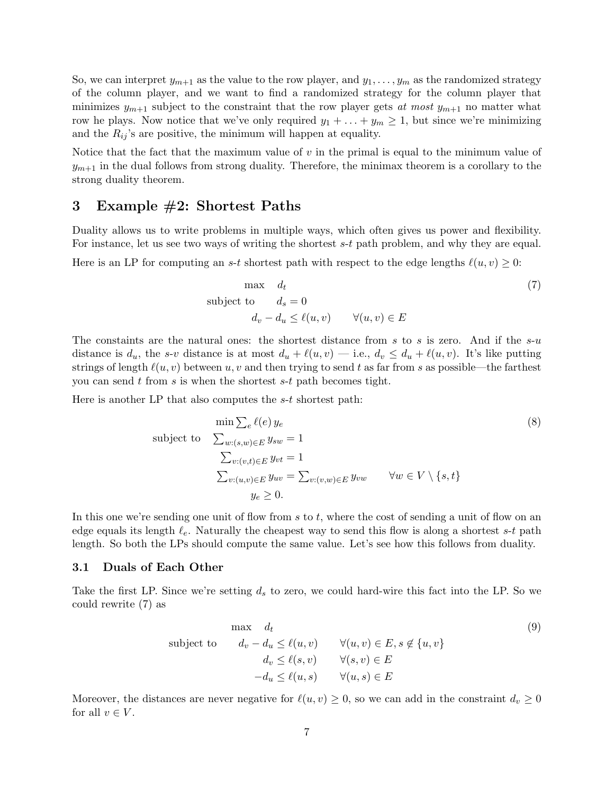So, we can interpret  $y_{m+1}$  as the value to the row player, and  $y_1, \ldots, y_m$  as the randomized strategy of the column player, and we want to find a randomized strategy for the column player that minimizes  $y_{m+1}$  subject to the constraint that the row player gets at most  $y_{m+1}$  no matter what row he plays. Now notice that we've only required  $y_1 + \ldots + y_m \geq 1$ , but since we're minimizing and the  $R_{ij}$ 's are positive, the minimum will happen at equality.

Notice that the fact that the maximum value of  $v$  in the primal is equal to the minimum value of  $y_{m+1}$  in the dual follows from strong duality. Therefore, the minimax theorem is a corollary to the strong duality theorem.

## 3 Example #2: Shortest Paths

Duality allows us to write problems in multiple ways, which often gives us power and flexibility. For instance, let us see two ways of writing the shortest s-t path problem, and why they are equal.

Here is an LP for computing an s-t shortest path with respect to the edge lengths  $\ell(u, v) \geq 0$ :

$$
\begin{aligned}\n\text{max} \quad d_t & \\
\text{subject to} \quad d_s &= 0 \\
d_v - d_u &\leq \ell(u, v) \qquad \forall (u, v) \in E\n\end{aligned} \tag{7}
$$

The constaints are the natural ones: the shortest distance from s to s is zero. And if the  $s-u$ distance is  $d_u$ , the s-v distance is at most  $d_u + \ell(u, v)$  — i.e.,  $d_v \leq d_u + \ell(u, v)$ . It's like putting strings of length  $\ell(u, v)$  between u, v and then trying to send t as far from s as possible—the farthest you can send t from s is when the shortest  $s-t$  path becomes tight.

Here is another LP that also computes the s-t shortest path:

$$
\min \sum_{e} \ell(e) y_e
$$
\nsubject to\n
$$
\sum_{w:(s,w)\in E} y_{sw} = 1
$$
\n
$$
\sum_{v:(v,t)\in E} y_{vt} = 1
$$
\n
$$
\sum_{v:(u,v)\in E} y_{uv} = \sum_{v:(v,w)\in E} y_{vw} \quad \forall w \in V \setminus \{s,t\}
$$
\n
$$
y_e \ge 0.
$$
\n(8)

In this one we're sending one unit of flow from s to t, where the cost of sending a unit of flow on an edge equals its length  $\ell_e$ . Naturally the cheapest way to send this flow is along a shortest s-t path length. So both the LPs should compute the same value. Let's see how this follows from duality.

#### 3.1 Duals of Each Other

Take the first LP. Since we're setting  $d_s$  to zero, we could hard-wire this fact into the LP. So we could rewrite (7) as

$$
\begin{array}{ll}\n\text{max} & d_t \\
\text{subject to} & d_v - d_u \le \ell(u, v) \quad \forall (u, v) \in E, s \notin \{u, v\} \\
& d_v \le \ell(s, v) \quad \forall (s, v) \in E \\
& -d_u \le \ell(u, s) \quad \forall (u, s) \in E\n\end{array} \tag{9}
$$

Moreover, the distances are never negative for  $\ell(u, v) \geq 0$ , so we can add in the constraint  $d_v \geq 0$ for all  $v \in V$ .